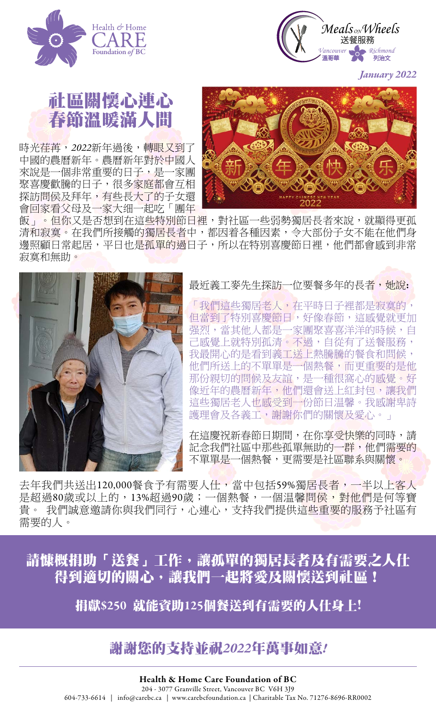



*January 2022*

## 社區關懷心連心 春節溫暖滿人間

時光荏苒, 2022新年過後,轉眼又到了 中國的農曆新年。農曆新年對於中國人 來說是一個非常重要的日子,是一家團 聚喜慶歡騰的日子,很多家庭都會互相 探訪問侯及拜年,有些長大了的子女還 會回家看父母及一家大细一起吃「團年



飯」。但你又是否想到在這些特別節日裡,對社區一些弱勢獨居長者來說,就顯得更孤 清和寂寞。在我們所接觸的獨居長者中,都因着各種因素,令大部份子女不能在他們身 邊照顧日常起居,平日也是孤單的過日子,所以在特別喜慶節日裡,他們都會感到非常 寂寞和無助。



最近義工麥先生探訪一位要餐多年的長者,她說:

「我們這些獨居老人,在平時日子裡都是寂寞的, 但當到了特別喜慶節日,好像春節,這感覺就更加 强烈,當其他人都是一家團聚喜喜洋洋的時候,自 己感覺上就特別孤清。不過,自從有了送餐服務, 我最開心的是看到義工送上熱騰騰的餐食和問候, 他們所送上的不單單是一個熱餐,而更重要的是他 那份親切的問候及友誼,是一種很窩心的感覺。好 像近年的農曆新年,他們還會送上紅封包,讓我們 這些獨居老人也感受到一份節日温馨。我感謝卑詩 護理會及各義工,謝謝你們的關懷及愛心。」

在這慶祝新春節日期間,在你享受快樂的同時,請 記念我們社區中那些孤單無助的一群,他們需要的 不單單是一個熱餐,更需要是社區聯系與關懷。

去年我們共送出120,000餐食予有需要人仕,當中包括59%獨居長者,一半以上客人 是超過80歲或以上的,13%超過90歲;一個熱餐,一個温馨問侯,對他們是何等寶 貴。我們誠意邀請你與我們同行,心連心,支持我們提供這些重要的服務予社區有 需要的人。

[請慷概捐助「送餐」工作,讓孤單的獨居長者及有需要之人仕](https://www.carebcfoundation.ca/donate-chinese.html) 得到適切的關心,讓我們一起將愛及關懷送到社區!

捐獻\$250 就能資助125[個餐送到有需要的人仕身上!](https://www.carebcfoundation.ca/donate-chinese.html)

## 謝謝您的支持並祝*2022*年萬事如意*!*